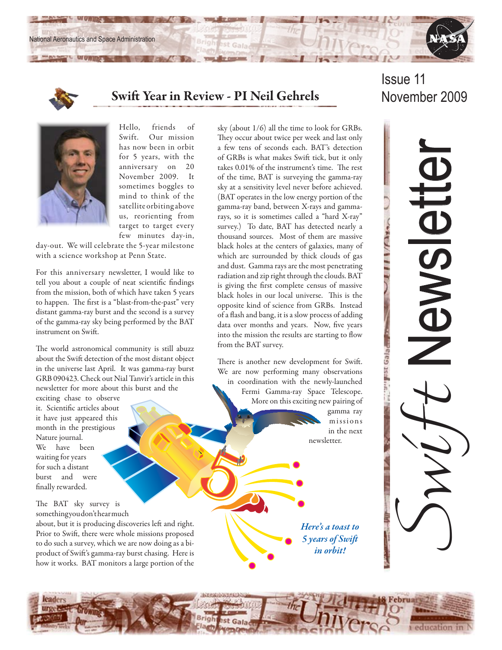



# Swift Year in Review - PI Neil Gehrels November 2009

5

# Issue 11



Hello, friends of Swift. Our mission has now been in orbit for 5 years, with the anniversary on 20 November 2009. It sometimes boggles to mind to think of the satellite orbiting above us, reorienting from target to target every few minutes day-in,

day-out. We will celebrate the 5-year milestone with a science workshop at Penn State.

For this anniversary newsletter, I would like to tell you about a couple of neat scientific findings from the mission, both of which have taken 5 years to happen. The first is a "blast-from-the-past" very distant gamma-ray burst and the second is a survey of the gamma-ray sky being performed by the BAT instrument on Swift.

The world astronomical community is still abuzz about the Swift detection of the most distant object in the universe last April. It was gamma-ray burst GRB 090423. Check out Nial Tanvir's article in this newsletter for more about this burst and the

exciting chase to observe it. Scientific articles about it have just appeared this month in the prestigious Nature journal. We have been waiting for years for such a distant burst and were finally rewarded.

The BAT sky survey is something you don't hear much

about, but it is producing discoveries left and right. Prior to Swift, there were whole missions proposed to do such a survey, which we are now doing as a biproduct of Swift's gamma-ray burst chasing. Here is how it works. BAT monitors a large portion of the sky (about 1/6) all the time to look for GRBs. They occur about twice per week and last only a few tens of seconds each. BAT's detection of GRBs is what makes Swift tick, but it only takes 0.01% of the instrument's time. The rest of the time, BAT is surveying the gamma-ray sky at a sensitivity level never before achieved. (BAT operates in the low energy portion of the gamma-ray band, between X-rays and gammarays, so it is sometimes called a "hard X-ray" survey.) To date, BAT has detected nearly a thousand sources. Most of them are massive black holes at the centers of galaxies, many of which are surrounded by thick clouds of gas and dust. Gamma rays are the most penetrating radiation and zip right through the clouds. BAT is giving the first complete census of massive black holes in our local universe. This is the opposite kind of science from GRBs. Instead of a flash and bang, it is a slow process of adding data over months and years. Now, five years into the mission the results are starting to flow from the BAT survey.

There is another new development for Swift. We are now performing many observations in coordination with the newly-launched Fermi Gamma-ray Space Telescope. More on this exciting new pairing of

> gamma ray missions in the next newsletter.

*Here's a toast to 5 years of Swift in orbit!*



education in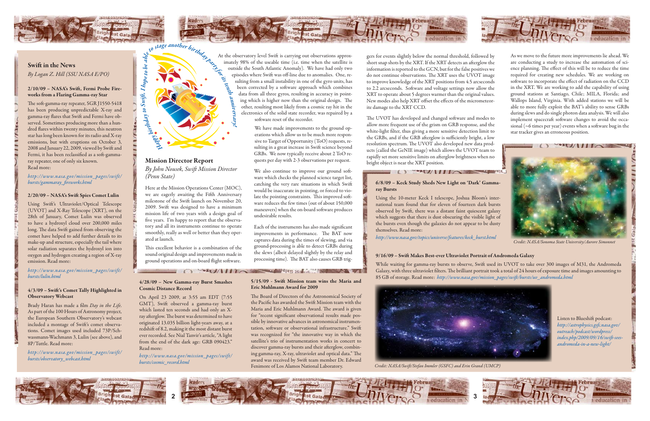#### 6/8/09 – Keck Study Sheds New Light on 'Dark' Gammaray Bursts

Using the 10-meter Keck I telescope, Joshua Bloom's international team found that for eleven of fourteen dark bursts observed by Swift, there was a distant faint quiescent galaxy which suggests that there is dust obscuring the visible light of the bursts even though the galaxies do not appear to be dusty themselves. Read more:

*http://www.nasa.gov/topics/universe/features/keck\_burst.html*

### 9/16/09 – Swift Makes Best-ever Ultraviolet Portrait of Andromeda Galaxy

While waiting for gamma-ray bursts to observe, Swift used its UVOT to take over 300 images of M31, the Andromeda Galaxy, with three ultraviolet filters. The brilliant portrait took a total of 24 hours of exposure time and images amounting to 85 GB of storage. Read more: *http://www.nasa.gov/mission\_pages/swift/bursts/uv\_andromeda.html*





gers for events slightly below the normal threshold, followed by short snap shots by the XRT. If the XRT detects an afterglow the information is reported to the GCN, but for the false positives we do not continue observations. The XRT uses the UVOT image to improve knowledge of the XRT positions from 4.5 arcseconds to 2.2 arcseconds. Software and voltage settings now allow the XRT to operate about 5 degrees warmer than the original values. New modes also help XRT offset the effects of the micrometeorite damage to the XRT CCD.

The UVOT has developed and changed software and modes to allow more frequent use of the grism on GRB response, and the white-light filter, thus giving a more sensitive detection limit to the GRBs, and if the GRB afterglow is sufficiently bright, a low resolution spectrum. The UVOT also developed new data products (called the GeNIE image) which allows the UVOT team to rapidly set more sensitive limits on afterglow brightness when no bright object is near the XRT position.

# O WOULD BE THE



## Swift in the News *By Logan Z. Hill (SSU NASA E/PO)*

#### 2/10/09 – NASA's Swift, Fermi Probe Fireworks from a Flaring Gamma-ray Star

The soft-gamma-ray repeater, SGR J1550-5418 has been producing unpredictable X-ray and gamma-ray flares that Swift and Fermi have observed. Sometimes producing more than a hundred flares within twenty minutes, this neutron star has long been known for its radio and X-ray emissions, but with eruptions on October 3, 2008 and January 22, 2009, viewed by Swift and Fermi, it has been reclassified as a soft-gammaray repeater, one of only six known. Read more:

#### *http://www.nasa.gov/mission\_pages/swift/ bursts/gammaray\_fireworks.html*

#### 2/20/09 – NASA's Swift Spies Comet Lulin

Using Swift's Ultraviolet/Optical Telescope (UVOT) and X-Ray Telescope (XRT), on the 28th of January, Comet Lulin was observed to have a hydroxyl cloud over 200,000 miles long. The data Swift gained from observing the comet have helped to add further details to its make-up and structure, especially the tail where solar radiation separates the hydroxyl ion into oxygen and hydrogen creating a region of X-ray emission. Read more:

#### *http://www.nasa.gov/mission\_pages/swift/ bursts/lulin.html*

#### 4/3/09 – Swift's Comet Tally Highlighted in Observatory Webcast

Brady Haran has made a film *Day in the Life*. As part of the 100 Hours of Astronomy project, the European Southern Observatory's webcast included a montage of Swift's comet observations. Comet images used included 73P/Schwassmann-Wachmann 3, Lulin (see above), and 8P/Tuttle. Read more:

*http://www.nasa.gov/mission\_pages/swift/ bursts/observatory\_webcast.html*

### Mission Director Report *By John Nousek, Swift Mission Director (Penn State)*

Here at the Mission Operations Center (MOC), we are eagerly awaiting the Fifth Anniversary milestone of the Swift launch on November 20, 2009. Swift was designed to have a minimum mission life of two years with a design goal of five years. I'm happy to report that the observatory and all its instruments continue to operate smoothly, really as well or better than they operated at launch.

This excellent behavior is a combination of the sound original design and improvements made in ground operations and on-board flight software.

We have made improvements to the ground operations which allow us to be much more responsive to Target of Opportunity (ToO) requests, resulting in a great increase in Swift science beyond GRBs. We now typically receive about 2 ToO requests per day with 2-3 observations per request.

We also continue to improve our ground software which checks the planned science target list, catching the very rare situations in which Swift would be inaccurate in pointing, or forced to violate the pointing constraints. This improved software reduces the few times (out of about 150,000 maneuvers) when the on-board software produces undesirable results.

Each of the instruments has also made significant improvements in performance. The BAT now captures data during the times of slewing, and via ground-processing is able to detect GRBs during the slews (albeit delayed slightly by the relay and processing time). The BAT also causes GRB trig-

4/28/09 – New Gamma-ray Burst Smashes Cosmic Distance Record

On April 23 2009, at 3:55 am EDT (7:55 GMT), Swift observed a gamma-ray burst which lasted ten seconds and had only an Xray afterglow. The burst was determined to have originated 13.035 billion light-years away, at a redshift of 8.2, making it the most distant burst ever recorded. See Nial Tanvir's article, "A light from the end of the dark age: GRB 090423." Read more:

At the observatory level Swift is carrying out observations approximately 98% of the useable time (i.e. time when the satellite is outside the South Atlantic Anomaly). We have had only two episodes where Swift was off-line due to anomalies. One, resulting from a small instability in one of the gyro units, has been corrected by a software approach which combines data from all three gyros, resulting in accuracy in pointing which is higher now than the original design. The other, resulting most likely from a cosmic ray hit in the electronics of the solid state recorder, was repaired by a software reset of the recorder. *anniversa ry*

*http://www.nasa.gov/mission\_pages/swift/ bursts/cosmic\_record.html*

#### 5/15/09 - Swift Mission team wins the Maria and Eric Muhlmann Award for 2009

The Board of Directors of the Astronomical Society of the Pacific has awarded the Swift Mission team with the Maria and Eric Muhlmann Award. The award is given for "recent significant observational results made possible by innovative advances in astronomical instrumentation, software or observational infrastructure." Swift was recognized for "the innovative way in which the satellite's trio of instrumentation works in concert to discover gamma-ray bursts and their afterglow, combining gamma-ray, X-ray, ultraviolet and optical data." The award was received by Swift team member Dr. Edward Fenimore of Los Alamos National Laboratory.

As we move to the future more improvements lie ahead. We are conducting a study to increase the automation of science planning. The effect of this will be to reduce the time required for creating new schedules. We are working on software to incorporate the effect of radiation on the CCD in the XRT. We are working to add the capability of using ground stations at Santiago, Chile; MILA, Florida; and Wallops Island, Virginia. With added stations we will be able to more fully exploit the BAT's ability to sense GRBs during slews and do single photon data analysis. We will also implement spacecraft software changes to avoid the occasional (~6 times per year) events when a software bug in the star tracker gives an erroneous position.



*Credit: NASA/Sonoma State University/Aurore Simonnet*

Listen to Blueshift podcast: *http://astrophysics.gsfc.nasa.gov/ outreach/podcast/wordpress/ index.php/2009/09/16/swift-seesandromeda-in-a-new-light/*



*Credit: NASA/Swift/Stefan Immler (GSFC) and Erin Grand (UMCP)*



*!*